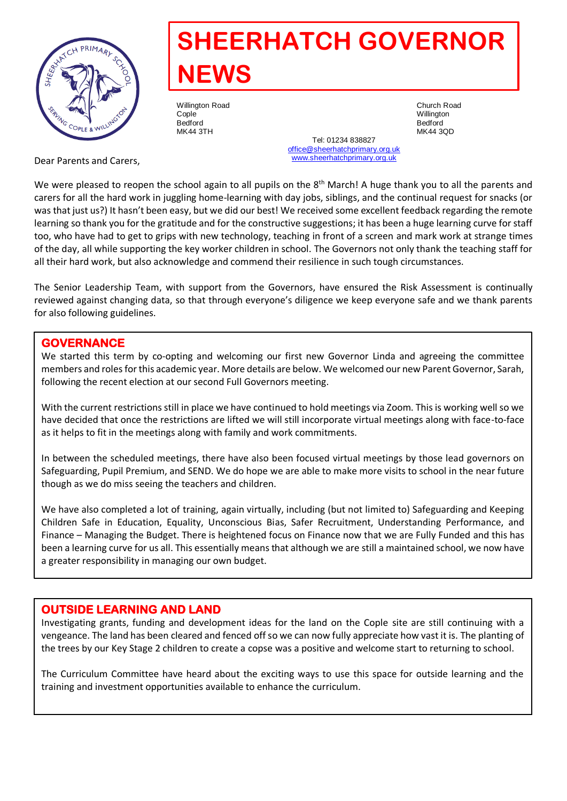

# **SHEERHATCH GOVERNOR NEWS**

Willington Road **Church Road Church Road Church Road**<br>Conle Cople Willington Bedford Bedford

MK44 3TH MK44 3QD Tel: 01234 838827 [office@sheerhatchprimary.org.uk](mailto:office@sheerhatchprimary.org.uk) [www.sheerhatchprimary.org.uk](http://www.sheerhatchprimary.org.uk/)

Dear Parents and Carers,

We were pleased to reopen the school again to all pupils on the 8<sup>th</sup> March! A huge thank you to all the parents and carers for all the hard work in juggling home-learning with day jobs, siblings, and the continual request for snacks (or was that just us?) It hasn't been easy, but we did our best! We received some excellent feedback regarding the remote learning so thank you for the gratitude and for the constructive suggestions; it has been a huge learning curve for staff too, who have had to get to grips with new technology, teaching in front of a screen and mark work at strange times of the day, all while supporting the key worker children in school. The Governors not only thank the teaching staff for all their hard work, but also acknowledge and commend their resilience in such tough circumstances.

The Senior Leadership Team, with support from the Governors, have ensured the Risk Assessment is continually reviewed against changing data, so that through everyone's diligence we keep everyone safe and we thank parents for also following guidelines.

## **GOVERNANCE**

We started this term by co-opting and welcoming our first new Governor Linda and agreeing the committee members and roles for this academic year. More details are below. We welcomed our new Parent Governor, Sarah, following the recent election at our second Full Governors meeting.

With the current restrictions still in place we have continued to hold meetings via Zoom. This is working well so we have decided that once the restrictions are lifted we will still incorporate virtual meetings along with face-to-face as it helps to fit in the meetings along with family and work commitments.

In between the scheduled meetings, there have also been focused virtual meetings by those lead governors on Safeguarding, Pupil Premium, and SEND. We do hope we are able to make more visits to school in the near future though as we do miss seeing the teachers and children.

We have also completed a lot of training, again virtually, including (but not limited to) Safeguarding and Keeping Children Safe in Education, Equality, Unconscious Bias, Safer Recruitment, Understanding Performance, and Finance – Managing the Budget. There is heightened focus on Finance now that we are Fully Funded and this has been a learning curve for us all. This essentially means that although we are still a maintained school, we now have a greater responsibility in managing our own budget.

## **OUTSIDE LEARNING AND LAND**

Investigating grants, funding and development ideas for the land on the Cople site are still continuing with a vengeance. The land has been cleared and fenced off so we can now fully appreciate how vast it is. The planting of the trees by our Key Stage 2 children to create a copse was a positive and welcome start to returning to school.

The Curriculum Committee have heard about the exciting ways to use this space for outside learning and the training and investment opportunities available to enhance the curriculum.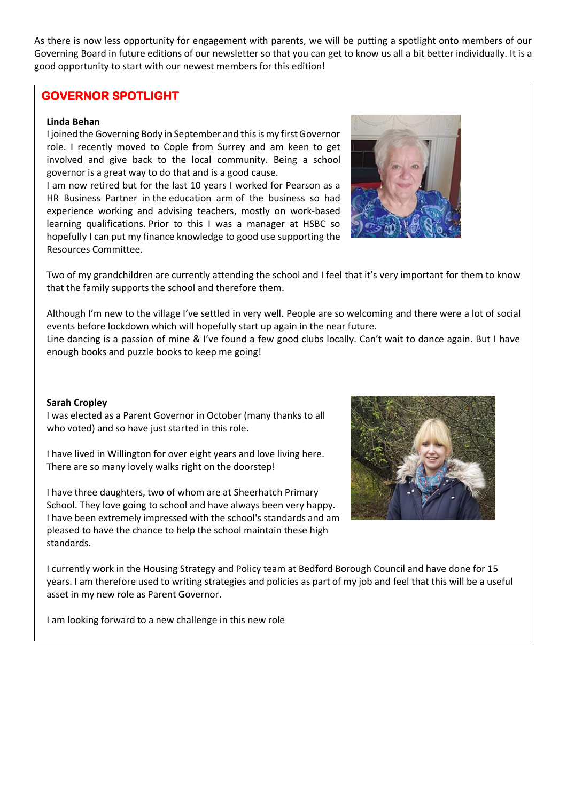As there is now less opportunity for engagement with parents, we will be putting a spotlight onto members of our Governing Board in future editions of our newsletter so that you can get to know us all a bit better individually. It is a good opportunity to start with our newest members for this edition!

#### **GOVERNOR SPOTLIGHT**

#### **Linda Behan**

I joined the Governing Body in September and this is my first Governor role. I recently moved to Cople from Surrey and am keen to get involved and give back to the local community. Being a school governor is a great way to do that and is a good cause.

I am now retired but for the last 10 years I worked for Pearson as a HR Business Partner in the education arm of the business so had experience working and advising teachers, mostly on work-based learning qualifications. Prior to this I was a manager at HSBC so hopefully I can put my finance knowledge to good use supporting the Resources Committee.



Two of my grandchildren are currently attending the school and I feel that it's very important for them to know that the family supports the school and therefore them.

Although I'm new to the village I've settled in very well. People are so welcoming and there were a lot of social events before lockdown which will hopefully start up again in the near future. Line dancing is a passion of mine & I've found a few good clubs locally. Can't wait to dance again. But I have

**Sarah Cropley** 

I was elected as a Parent Governor in October (many thanks to all who voted) and so have just started in this role.

enough books and puzzle books to keep me going!

I have lived in Willington for over eight years and love living here. There are so many lovely walks right on the doorstep!

I have three daughters, two of whom are at Sheerhatch Primary School. They love going to school and have always been very happy. I have been extremely impressed with the school's standards and am pleased to have the chance to help the school maintain these high standards.



I currently work in the Housing Strategy and Policy team at Bedford Borough Council and have done for 15 years. I am therefore used to writing strategies and policies as part of my job and feel that this will be a useful asset in my new role as Parent Governor.

I am looking forward to a new challenge in this new role